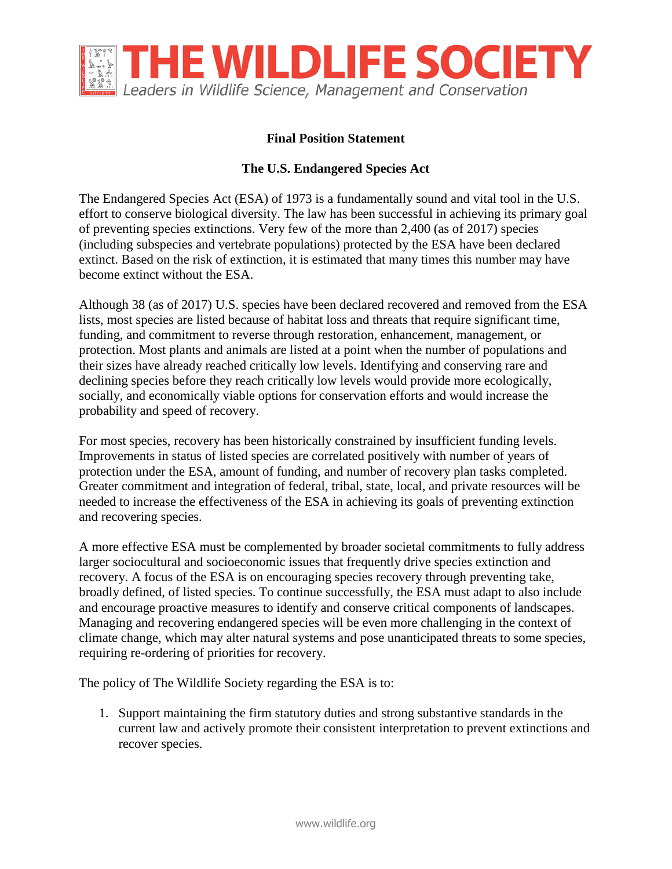

## **Final Position Statement**

## **The U.S. Endangered Species Act**

The Endangered Species Act (ESA) of 1973 is a fundamentally sound and vital tool in the U.S. effort to conserve biological diversity. The law has been successful in achieving its primary goal of preventing species extinctions. Very few of the more than 2,400 (as of 2017) species (including subspecies and vertebrate populations) protected by the ESA have been declared extinct. Based on the risk of extinction, it is estimated that many times this number may have become extinct without the ESA.

Although 38 (as of 2017) U.S. species have been declared recovered and removed from the ESA lists, most species are listed because of habitat loss and threats that require significant time, funding, and commitment to reverse through restoration, enhancement, management, or protection. Most plants and animals are listed at a point when the number of populations and their sizes have already reached critically low levels. Identifying and conserving rare and declining species before they reach critically low levels would provide more ecologically, socially, and economically viable options for conservation efforts and would increase the probability and speed of recovery.

For most species, recovery has been historically constrained by insufficient funding levels. Improvements in status of listed species are correlated positively with number of years of protection under the ESA, amount of funding, and number of recovery plan tasks completed. Greater commitment and integration of federal, tribal, state, local, and private resources will be needed to increase the effectiveness of the ESA in achieving its goals of preventing extinction and recovering species.

A more effective ESA must be complemented by broader societal commitments to fully address larger sociocultural and socioeconomic issues that frequently drive species extinction and recovery. A focus of the ESA is on encouraging species recovery through preventing take, broadly defined, of listed species. To continue successfully, the ESA must adapt to also include and encourage proactive measures to identify and conserve critical components of landscapes. Managing and recovering endangered species will be even more challenging in the context of climate change, which may alter natural systems and pose unanticipated threats to some species, requiring re-ordering of priorities for recovery.

The policy of The Wildlife Society regarding the ESA is to:

1. Support maintaining the firm statutory duties and strong substantive standards in the current law and actively promote their consistent interpretation to prevent extinctions and recover species.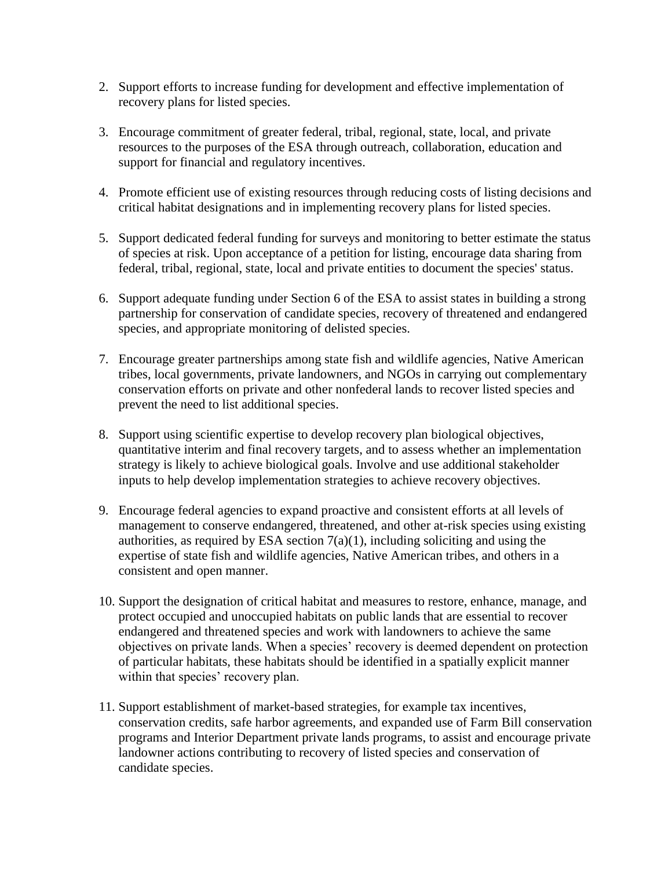- 2. Support efforts to increase funding for development and effective implementation of recovery plans for listed species.
- 3. Encourage commitment of greater federal, tribal, regional, state, local, and private resources to the purposes of the ESA through outreach, collaboration, education and support for financial and regulatory incentives.
- 4. Promote efficient use of existing resources through reducing costs of listing decisions and critical habitat designations and in implementing recovery plans for listed species.
- 5. Support dedicated federal funding for surveys and monitoring to better estimate the status of species at risk. Upon acceptance of a petition for listing, encourage data sharing from federal, tribal, regional, state, local and private entities to document the species' status.
- 6. Support adequate funding under Section 6 of the ESA to assist states in building a strong partnership for conservation of candidate species, recovery of threatened and endangered species, and appropriate monitoring of delisted species.
- 7. Encourage greater partnerships among state fish and wildlife agencies, Native American tribes, local governments, private landowners, and NGOs in carrying out complementary conservation efforts on private and other nonfederal lands to recover listed species and prevent the need to list additional species.
- 8. Support using scientific expertise to develop recovery plan biological objectives, quantitative interim and final recovery targets, and to assess whether an implementation strategy is likely to achieve biological goals. Involve and use additional stakeholder inputs to help develop implementation strategies to achieve recovery objectives.
- 9. Encourage federal agencies to expand proactive and consistent efforts at all levels of management to conserve endangered, threatened, and other at-risk species using existing authorities, as required by ESA section  $7(a)(1)$ , including soliciting and using the expertise of state fish and wildlife agencies, Native American tribes, and others in a consistent and open manner.
- 10. Support the designation of critical habitat and measures to restore, enhance, manage, and protect occupied and unoccupied habitats on public lands that are essential to recover endangered and threatened species and work with landowners to achieve the same objectives on private lands. When a species' recovery is deemed dependent on protection of particular habitats, these habitats should be identified in a spatially explicit manner within that species' recovery plan.
- 11. Support establishment of market-based strategies, for example tax incentives, conservation credits, safe harbor agreements, and expanded use of Farm Bill conservation programs and Interior Department private lands programs, to assist and encourage private landowner actions contributing to recovery of listed species and conservation of candidate species.